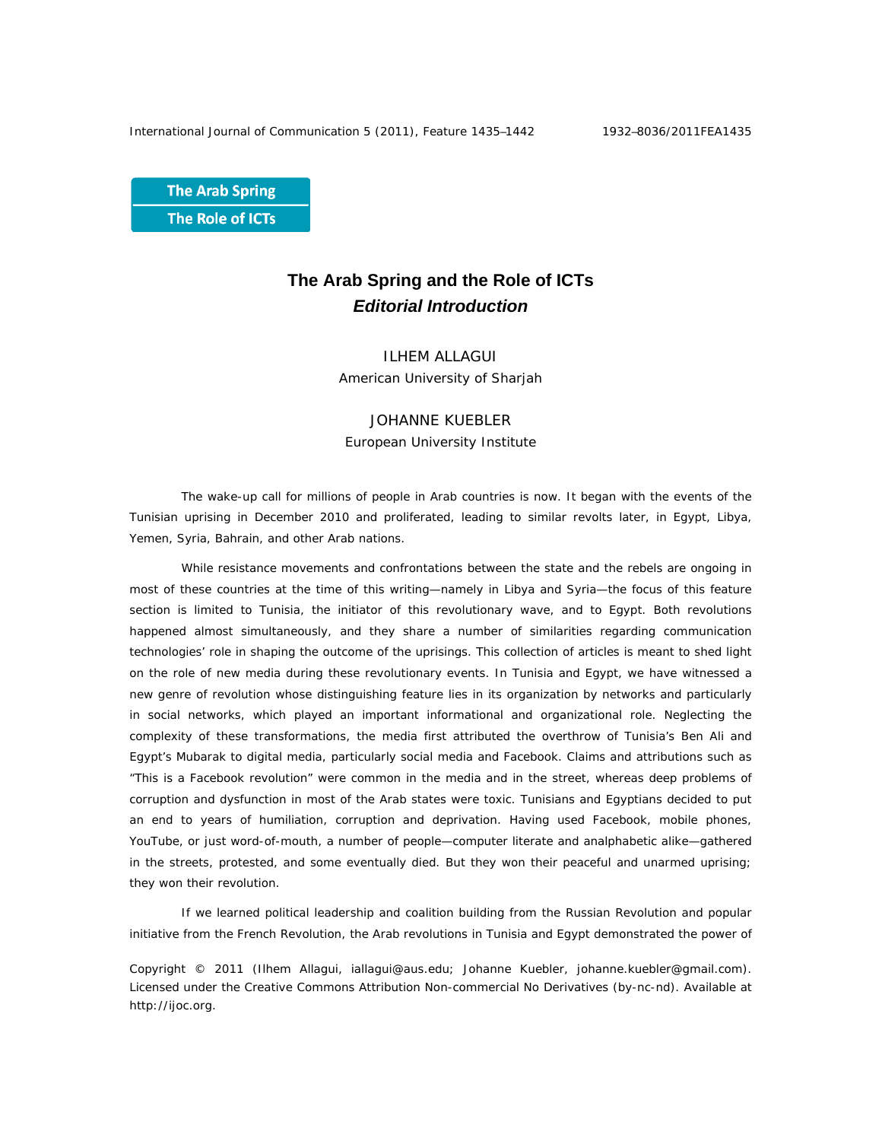**The Arab Spring** The Role of ICTs

# **The Arab Spring and the Role of ICTs**  *Editorial Introduction*

ILHEM ALLAGUI American University of Sharjah

# JOHANNE KUEBLER European University Institute

The wake-up call for millions of people in Arab countries is now. It began with the events of the Tunisian uprising in December 2010 and proliferated, leading to similar revolts later, in Egypt, Libya, Yemen, Syria, Bahrain, and other Arab nations.

While resistance movements and confrontations between the state and the rebels are ongoing in most of these countries at the time of this writing—namely in Libya and Syria—the focus of this feature section is limited to Tunisia, the initiator of this revolutionary wave, and to Egypt. Both revolutions happened almost simultaneously, and they share a number of similarities regarding communication technologies' role in shaping the outcome of the uprisings. This collection of articles is meant to shed light on the role of new media during these revolutionary events. In Tunisia and Egypt, we have witnessed a new genre of revolution whose distinguishing feature lies in its organization by networks and particularly in social networks, which played an important informational and organizational role. Neglecting the complexity of these transformations, the media first attributed the overthrow of Tunisia's Ben Ali and Egypt's Mubarak to digital media, particularly social media and Facebook. Claims and attributions such as "This is a Facebook revolution" were common in the media and in the street, whereas deep problems of corruption and dysfunction in most of the Arab states were toxic. Tunisians and Egyptians decided to put an end to years of humiliation, corruption and deprivation. Having used Facebook, mobile phones, YouTube, or just word-of-mouth, a number of people—computer literate and analphabetic alike—gathered in the streets, protested, and some eventually died. But they won their peaceful and unarmed uprising; they won their revolution.

If we learned political leadership and coalition building from the Russian Revolution and popular initiative from the French Revolution, the Arab revolutions in Tunisia and Egypt demonstrated the power of

Copyright © 2011 (Ilhem Allagui, iallagui@aus.edu; Johanne Kuebler, johanne.kuebler@gmail.com). Licensed under the Creative Commons Attribution Non-commercial No Derivatives (by-nc-nd). Available at http://ijoc.org.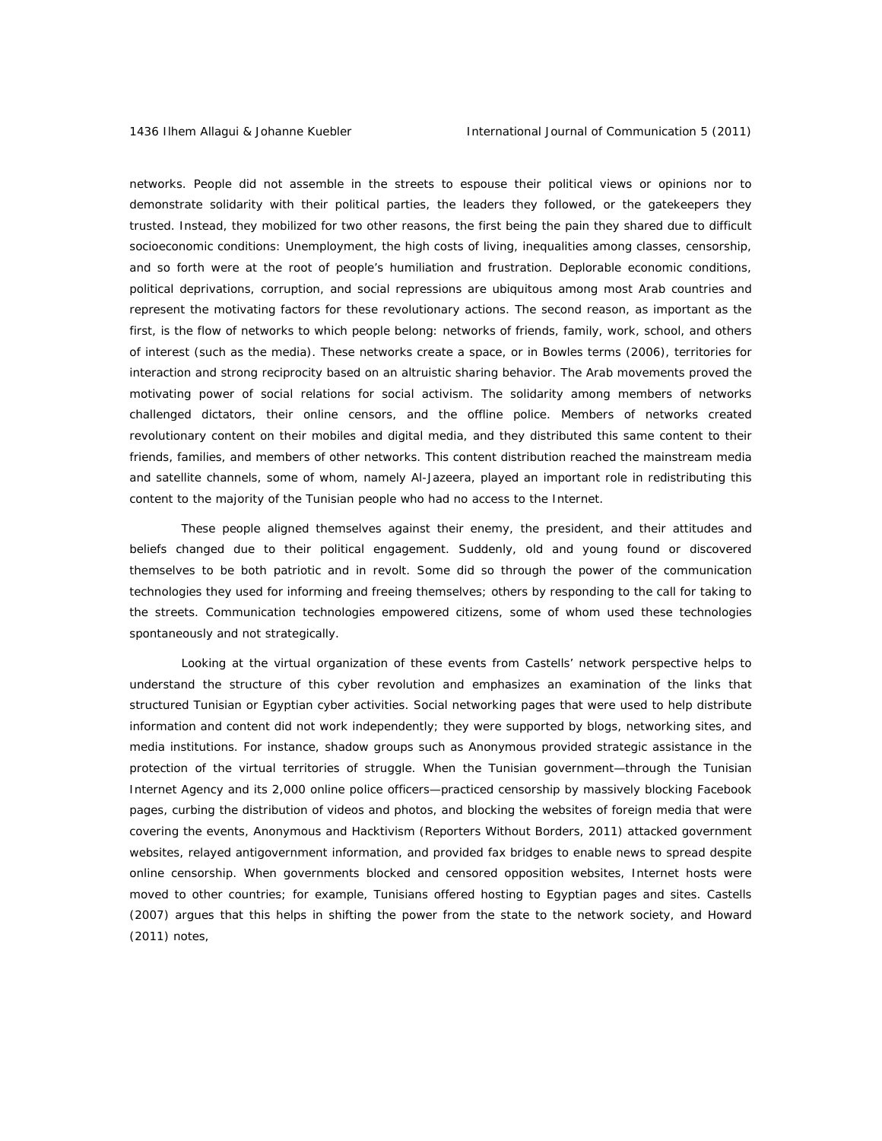networks*.* People did not assemble in the streets to espouse their political views or opinions nor to demonstrate solidarity with their political parties, the leaders they followed, or the gatekeepers they trusted. Instead, they mobilized for two other reasons, the first being the pain they shared due to difficult socioeconomic conditions: Unemployment, the high costs of living, inequalities among classes, censorship, and so forth were at the root of people's humiliation and frustration. Deplorable economic conditions, political deprivations, corruption, and social repressions are ubiquitous among most Arab countries and represent the motivating factors for these revolutionary actions. The second reason, as important as the first, is the flow of networks to which people belong: networks of friends, family, work, school, and others of interest (such as the media). These networks create a space, or in Bowles terms (2006), territories for interaction and *strong reciprocity* based on an altruistic sharing behavior. The Arab movements proved the motivating power of social relations for social activism. The solidarity among members of networks challenged dictators, their online censors, and the offline police. Members of networks created revolutionary content on their mobiles and digital media, and they distributed this same content to their friends, families, and members of other networks. This content distribution reached the mainstream media and satellite channels, some of whom, namely Al-Jazeera, played an important role in redistributing this content to the majority of the Tunisian people who had no access to the Internet.

These people aligned themselves against their enemy, the president, and their attitudes and beliefs changed due to their political engagement. Suddenly, old and young found or discovered themselves to be both patriotic and in revolt. Some did so through the power of the communication technologies they used for informing and freeing themselves; others by responding to the call for taking to the streets. Communication technologies empowered citizens, some of whom used these technologies spontaneously and not strategically.

Looking at the virtual organization of these events from Castells' network perspective helps to understand the structure of this cyber revolution and emphasizes an examination of the links that structured Tunisian or Egyptian cyber activities. Social networking pages that were used to help distribute information and content did not work independently; they were supported by blogs, networking sites, and media institutions. For instance, shadow groups such as Anonymous provided strategic assistance in the protection of the virtual territories of struggle. When the Tunisian government—through the Tunisian Internet Agency and its 2,000 online police officers—practiced censorship by massively blocking Facebook pages, curbing the distribution of videos and photos, and blocking the websites of foreign media that were covering the events, Anonymous and Hacktivism (Reporters Without Borders, 2011) attacked government websites, relayed antigovernment information, and provided fax bridges to enable news to spread despite online censorship. When governments blocked and censored opposition websites, Internet hosts were moved to other countries; for example, Tunisians offered hosting to Egyptian pages and sites. Castells (2007) argues that this helps in shifting the power from the state to the network society, and Howard (2011) notes,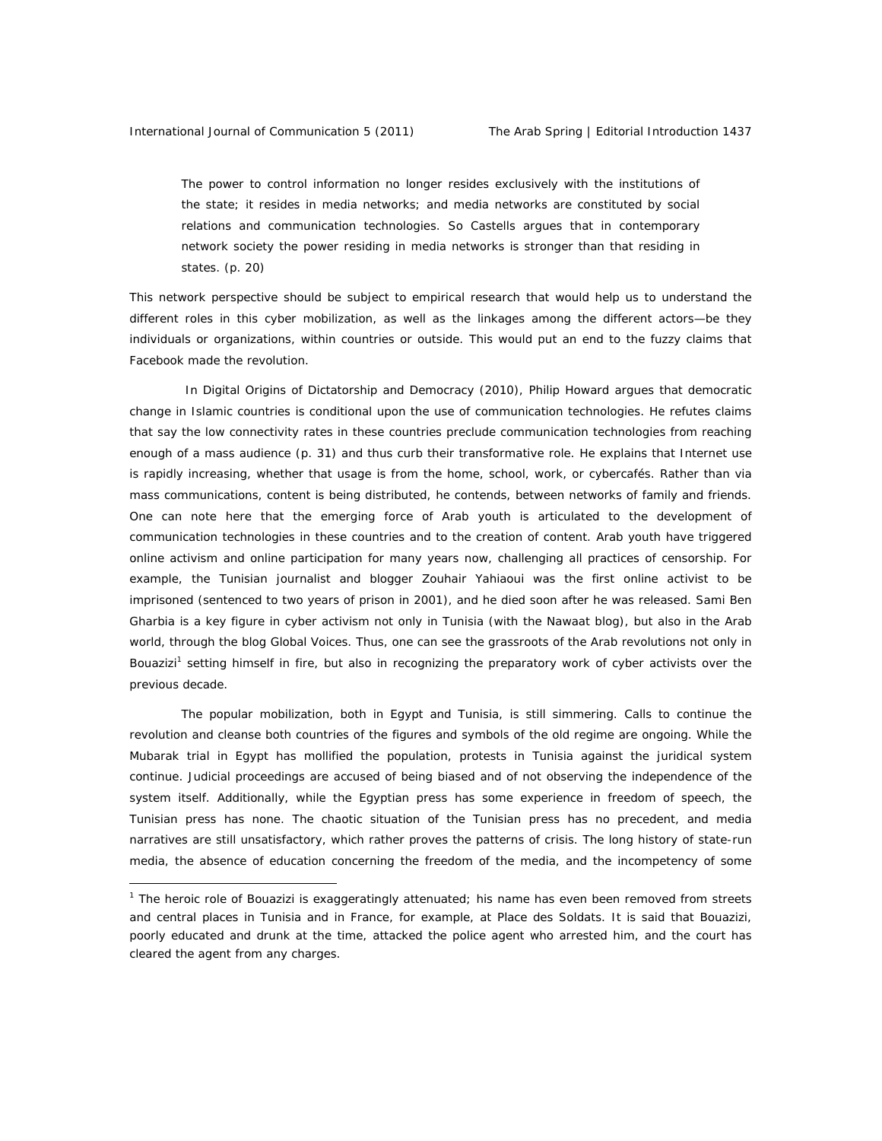$\overline{a}$ 

The power to control information no longer resides exclusively with the institutions of the state; it resides in media networks; and media networks are constituted by social relations and communication technologies. So Castells argues that in contemporary network society the power residing in media networks is stronger than that residing in states. (p. 20)

This network perspective should be subject to empirical research that would help us to understand the different roles in this cyber mobilization, as well as the linkages among the different actors—be they individuals or organizations, within countries or outside. This would put an end to the fuzzy claims that Facebook made the revolution.

 In *Digital Origins of Dictatorship and Democracy* (2010), Philip Howard argues that democratic change in Islamic countries is conditional upon the use of communication technologies. He refutes claims that say the low connectivity rates in these countries preclude communication technologies from reaching enough of a mass audience (p. 31) and thus curb their transformative role. He explains that Internet use is rapidly increasing, whether that usage is from the home, school, work, or cybercafés. Rather than via mass communications, content is being distributed, he contends, between networks of family and friends. One can note here that the emerging force of Arab youth is articulated to the development of communication technologies in these countries and to the creation of content. Arab youth have triggered online activism and online participation for many years now, challenging all practices of censorship. For example, the Tunisian journalist and blogger Zouhair Yahiaoui was the first online activist to be imprisoned (sentenced to two years of prison in 2001), and he died soon after he was released. Sami Ben Gharbia is a key figure in cyber activism not only in Tunisia (with the Nawaat blog), but also in the Arab world, through the blog Global Voices. Thus, one can see the grassroots of the Arab revolutions not only in Bouazizi<sup>1</sup> setting himself in fire, but also in recognizing the preparatory work of cyber activists over the previous decade.

The popular mobilization, both in Egypt and Tunisia, is still simmering. Calls to continue the revolution and cleanse both countries of the figures and symbols of the old regime are ongoing. While the Mubarak trial in Egypt has mollified the population, protests in Tunisia against the juridical system continue. Judicial proceedings are accused of being biased and of not observing the independence of the system itself. Additionally, while the Egyptian press has some experience in freedom of speech, the Tunisian press has none. The chaotic situation of the Tunisian press has no precedent, and media narratives are still unsatisfactory, which rather proves the patterns of crisis. The long history of state-run media, the absence of education concerning the freedom of the media, and the incompetency of some

<sup>&</sup>lt;sup>1</sup> The heroic role of Bouazizi is exaggeratingly attenuated; his name has even been removed from streets and central places in Tunisia and in France, for example, at Place des Soldats. It is said that Bouazizi, poorly educated and drunk at the time, attacked the police agent who arrested him, and the court has cleared the agent from any charges.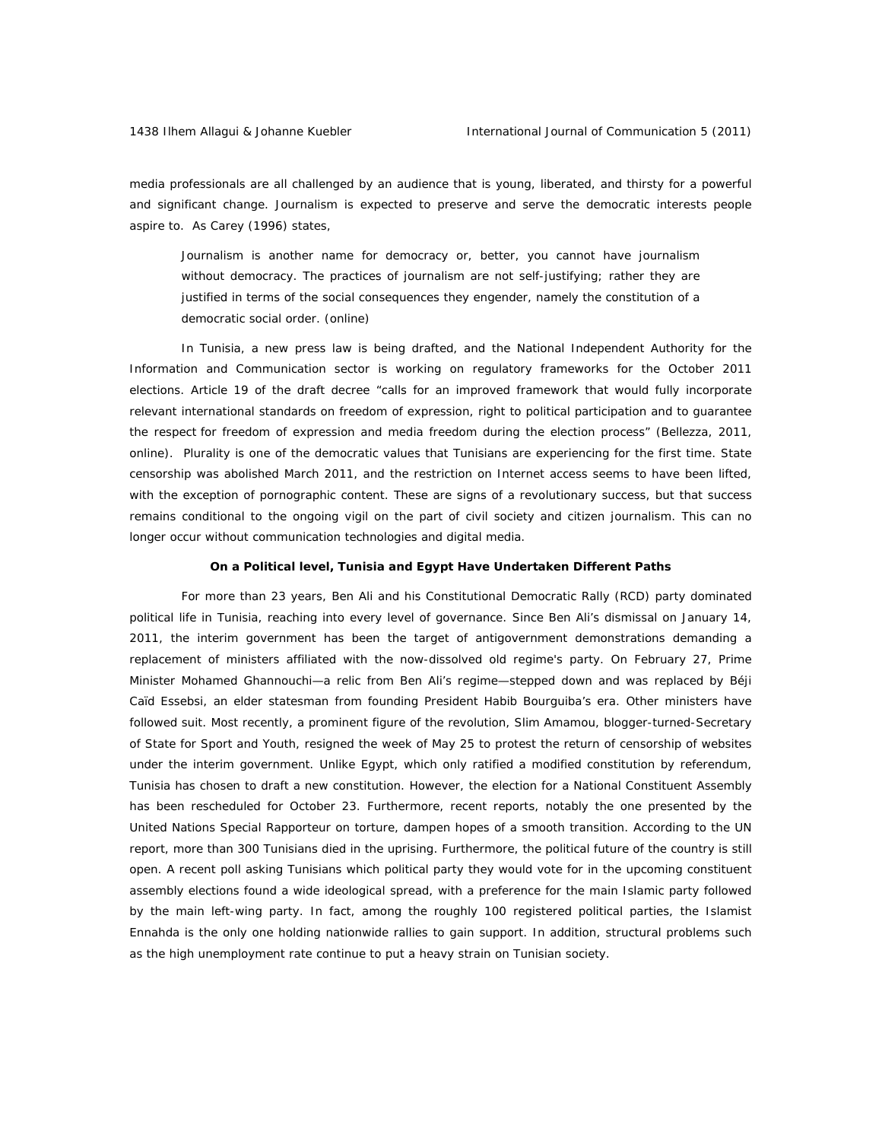media professionals are all challenged by an audience that is young, liberated, and thirsty for a powerful and significant change. Journalism is expected to preserve and serve the democratic interests people aspire to. As Carey (1996) states,

Journalism is another name for democracy or, better, you cannot have journalism without democracy. The practices of journalism are not self-justifying; rather they are justified in terms of the social consequences they engender, namely the constitution of a democratic social order. (online)

In Tunisia, a new press law is being drafted, and the National Independent Authority for the Information and Communication sector is working on regulatory frameworks for the October 2011 elections. Article 19 of the draft decree "calls for an improved framework that would fully incorporate relevant international standards on freedom of expression, right to political participation and to guarantee the respect for freedom of expression and media freedom during the election process" (Bellezza, 2011, online). Plurality is one of the democratic values that Tunisians are experiencing for the first time. State censorship was abolished March 2011, and the restriction on Internet access seems to have been lifted, with the exception of pornographic content. These are signs of a revolutionary success, but that success remains conditional to the ongoing vigil on the part of civil society and citizen journalism. This can no longer occur without communication technologies and digital media.

#### **On a Political level, Tunisia and Egypt Have Undertaken Different Paths**

For more than 23 years, Ben Ali and his Constitutional Democratic Rally (RCD) party dominated political life in Tunisia, reaching into every level of governance. Since Ben Ali's dismissal on January 14, 2011, the interim government has been the target of antigovernment demonstrations demanding a replacement of ministers affiliated with the now-dissolved old regime's party. On February 27, Prime Minister Mohamed Ghannouchi—a relic from Ben Ali's regime—stepped down and was replaced by Béji Caïd Essebsi, an elder statesman from founding President Habib Bourguiba's era. Other ministers have followed suit. Most recently, a prominent figure of the revolution, Slim Amamou, blogger-turned-Secretary of State for Sport and Youth, resigned the week of May 25 to protest the return of censorship of websites under the interim government. Unlike Egypt, which only ratified a modified constitution by referendum, Tunisia has chosen to draft a new constitution. However, the election for a National Constituent Assembly has been rescheduled for October 23. Furthermore, recent reports, notably the one presented by the United Nations Special Rapporteur on torture, dampen hopes of a smooth transition. According to the UN report, more than 300 Tunisians died in the uprising. Furthermore, the political future of the country is still open. A recent poll asking Tunisians which political party they would vote for in the upcoming constituent assembly elections found a wide ideological spread, with a preference for the main Islamic party followed by the main left-wing party. In fact, among the roughly 100 registered political parties, the Islamist Ennahda is the only one holding nationwide rallies to gain support. In addition, structural problems such as the high unemployment rate continue to put a heavy strain on Tunisian society.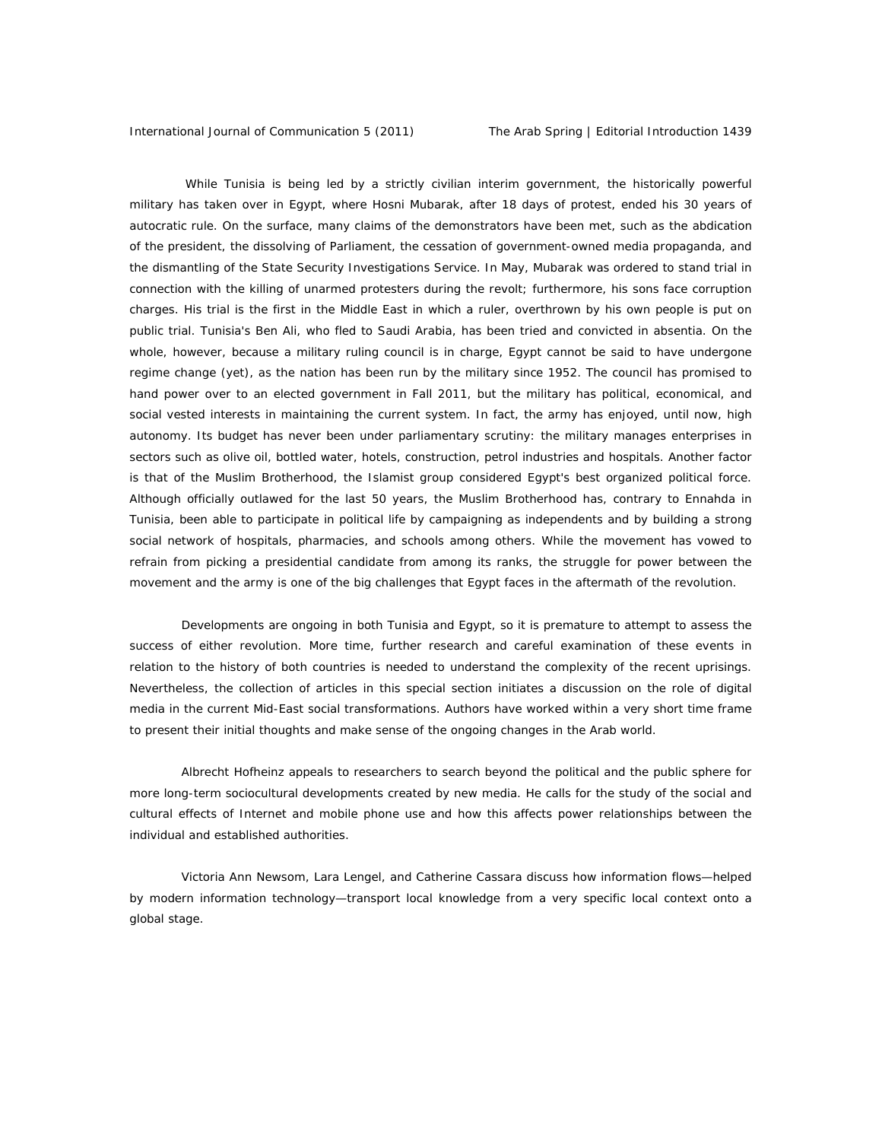While Tunisia is being led by a strictly civilian interim government, the historically powerful military has taken over in Egypt, where Hosni Mubarak, after 18 days of protest, ended his 30 years of autocratic rule. On the surface, many claims of the demonstrators have been met, such as the abdication of the president, the dissolving of Parliament, the cessation of government-owned media propaganda, and the dismantling of the State Security Investigations Service. In May, Mubarak was ordered to stand trial in connection with the killing of unarmed protesters during the revolt; furthermore, his sons face corruption charges. His trial is the first in the Middle East in which a ruler, overthrown by his own people is put on public trial. Tunisia's Ben Ali, who fled to Saudi Arabia, has been tried and convicted in absentia. On the whole, however, because a military ruling council is in charge, Egypt cannot be said to have undergone regime change (yet), as the nation has been run by the military since 1952. The council has promised to hand power over to an elected government in Fall 2011, but the military has political, economical, and social vested interests in maintaining the current system. In fact, the army has enjoyed, until now, high autonomy. Its budget has never been under parliamentary scrutiny: the military manages enterprises in sectors such as olive oil, bottled water, hotels, construction, petrol industries and hospitals. Another factor is that of the Muslim Brotherhood, the Islamist group considered Egypt's best organized political force. Although officially outlawed for the last 50 years, the Muslim Brotherhood has, contrary to Ennahda in Tunisia, been able to participate in political life by campaigning as independents and by building a strong social network of hospitals, pharmacies, and schools among others. While the movement has vowed to refrain from picking a presidential candidate from among its ranks, the struggle for power between the movement and the army is one of the big challenges that Egypt faces in the aftermath of the revolution.

Developments are ongoing in both Tunisia and Egypt, so it is premature to attempt to assess the success of either revolution. More time, further research and careful examination of these events in relation to the history of both countries is needed to understand the complexity of the recent uprisings. Nevertheless, the collection of articles in this special section initiates a discussion on the role of digital media in the current Mid-East social transformations. Authors have worked within a very short time frame to present their initial thoughts and make sense of the ongoing changes in the Arab world.

Albrecht Hofheinz appeals to researchers to search beyond the political and the public sphere for more long-term sociocultural developments created by new media. He calls for the study of the social and cultural effects of Internet and mobile phone use and how this affects power relationships between the individual and established authorities.

Victoria Ann Newsom, Lara Lengel, and Catherine Cassara discuss how information flows—helped by modern information technology—transport local knowledge from a very specific local context onto a global stage.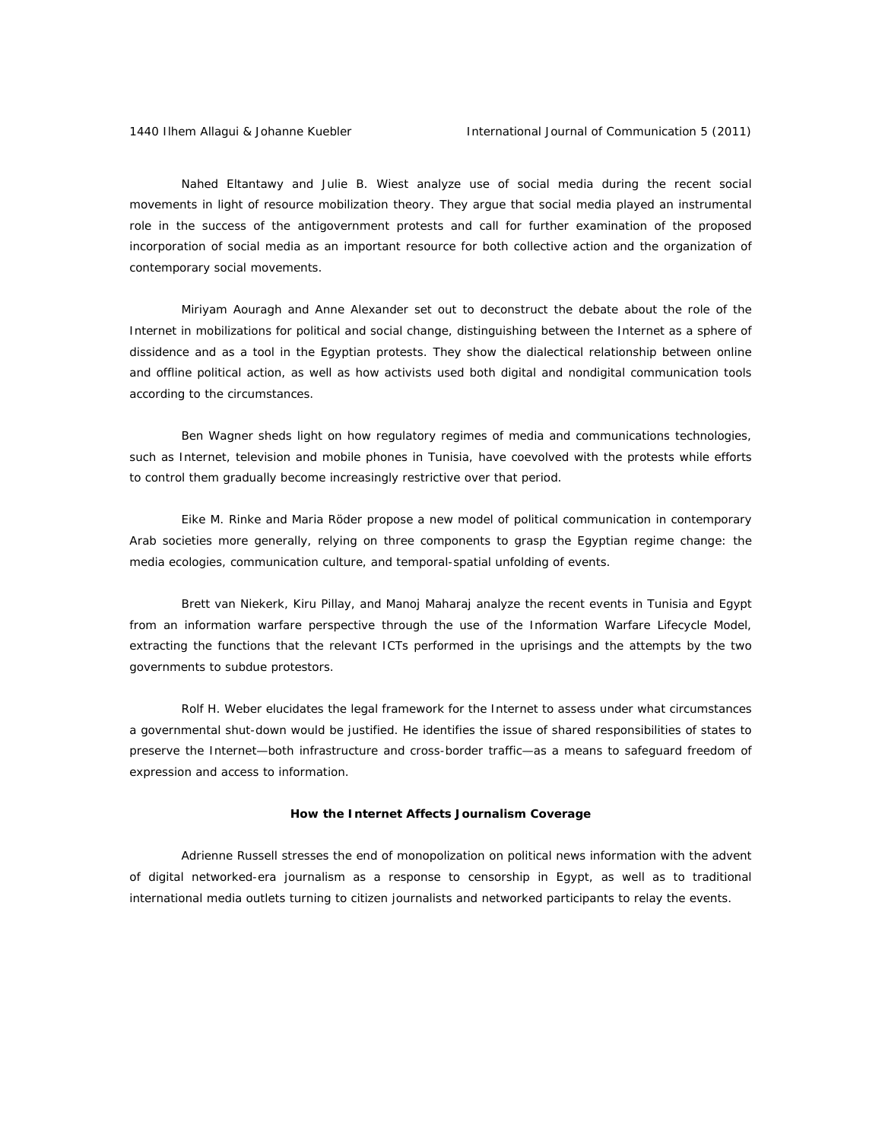Nahed Eltantawy and Julie B. Wiest analyze use of social media during the recent social movements in light of resource mobilization theory. They argue that social media played an instrumental role in the success of the antigovernment protests and call for further examination of the proposed incorporation of social media as an important resource for both collective action and the organization of contemporary social movements.

Miriyam Aouragh and Anne Alexander set out to deconstruct the debate about the role of the Internet in mobilizations for political and social change, distinguishing between the Internet as a *sphere of dissidence* and as a *tool* in the Egyptian protests. They show the dialectical relationship between online and offline political action, as well as how activists used both digital and nondigital communication tools according to the circumstances.

Ben Wagner sheds light on how regulatory regimes of media and communications technologies, such as Internet, television and mobile phones in Tunisia, have coevolved with the protests while efforts to control them gradually become increasingly restrictive over that period.

Eike M. Rinke and Maria Röder propose a new model of political communication in contemporary Arab societies more generally, relying on three components to grasp the Egyptian regime change: the media ecologies, communication culture, and temporal-spatial unfolding of events.

Brett van Niekerk, Kiru Pillay, and Manoj Maharaj analyze the recent events in Tunisia and Egypt from an information warfare perspective through the use of the Information Warfare Lifecycle Model, extracting the functions that the relevant ICTs performed in the uprisings and the attempts by the two governments to subdue protestors.

Rolf H. Weber elucidates the legal framework for the Internet to assess under what circumstances a governmental shut-down would be justified. He identifies the issue of shared responsibilities of states to preserve the Internet—both infrastructure and cross-border traffic—as a means to safeguard freedom of expression and access to information.

#### **How the Internet Affects Journalism Coverage**

Adrienne Russell stresses the end of monopolization on political news information with the advent of digital networked-era journalism as a response to censorship in Egypt, as well as to traditional international media outlets turning to citizen journalists and networked participants to relay the events.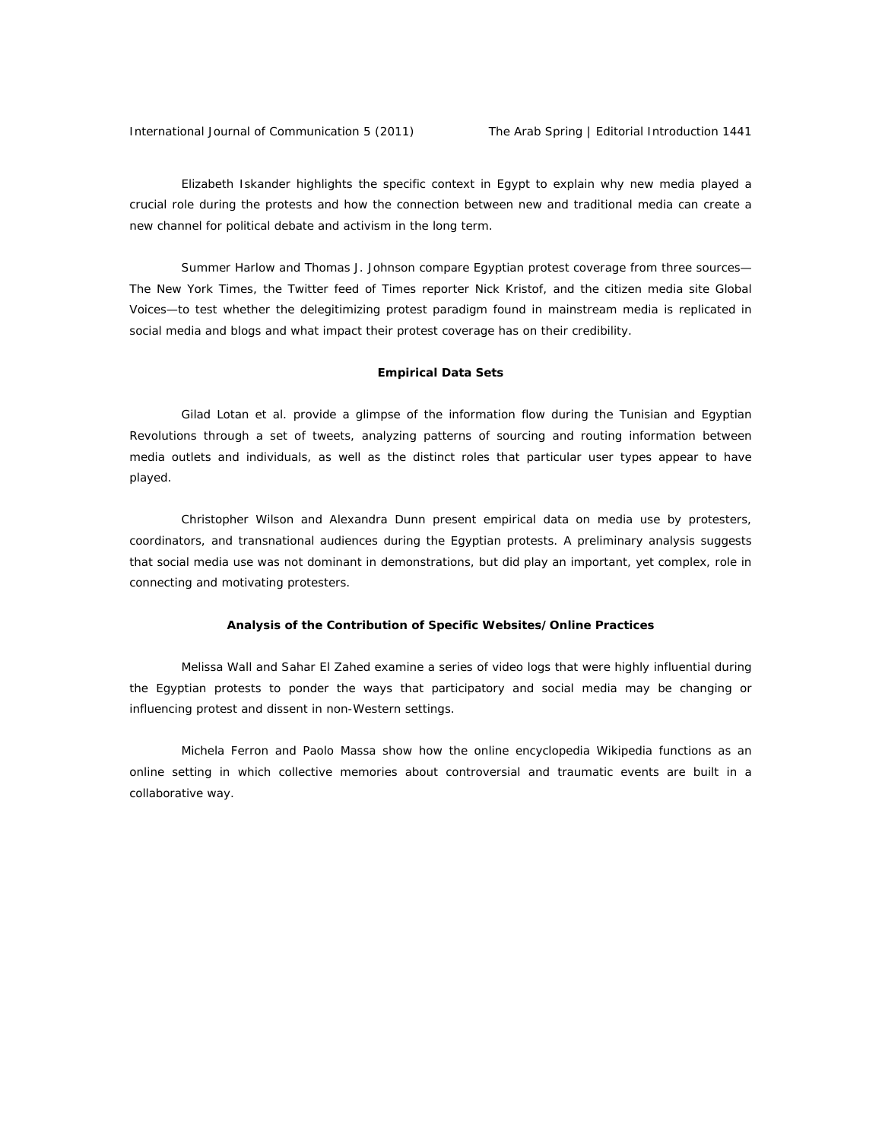Elizabeth Iskander highlights the specific context in Egypt to explain why new media played a crucial role during the protests and how the connection between new and traditional media can create a new channel for political debate and activism in the long term.

Summer Harlow and Thomas J. Johnson compare Egyptian protest coverage from three sources— *The New York Times*, the Twitter feed of *Times* reporter Nick Kristof, and the citizen media site Global Voices—to test whether the delegitimizing *protest paradigm* found in mainstream media is replicated in social media and blogs and what impact their protest coverage has on their credibility.

### **Empirical Data Sets**

Gilad Lotan et al. provide a glimpse of the information flow during the Tunisian and Egyptian Revolutions through a set of tweets, analyzing patterns of sourcing and routing information between media outlets and individuals, as well as the distinct roles that particular user types appear to have played.

Christopher Wilson and Alexandra Dunn present empirical data on media use by protesters, coordinators, and transnational audiences during the Egyptian protests. A preliminary analysis suggests that social media use was not dominant in demonstrations, but did play an important, yet complex, role in connecting and motivating protesters.

#### **Analysis of the Contribution of Specific Websites/Online Practices**

Melissa Wall and Sahar El Zahed examine a series of video logs that were highly influential during the Egyptian protests to ponder the ways that participatory and social media may be changing or influencing protest and dissent in non-Western settings.

Michela Ferron and Paolo Massa show how the online encyclopedia Wikipedia functions as an online setting in which collective memories about controversial and traumatic events are built in a collaborative way.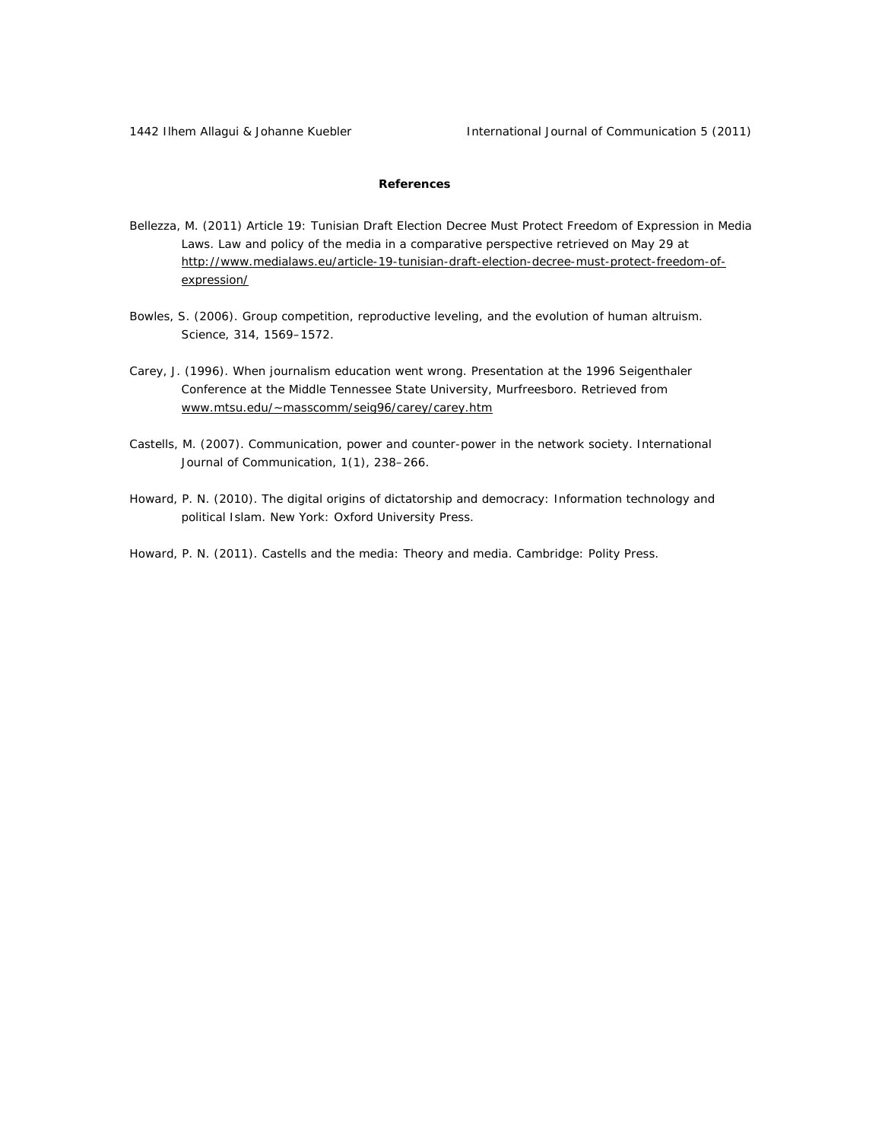## **References**

- Bellezza, M. (2011) Article 19: Tunisian Draft Election Decree Must Protect Freedom of Expression in Media Laws. Law and policy of the media in a comparative perspective retrieved on May 29 at http://www.medialaws.eu/article-19-tunisian-draft-election-decree-must-protect-freedom-ofexpression/
- Bowles, S. (2006). Group competition, reproductive leveling, and the evolution of human altruism. *Science*, *314*, 1569–1572.
- Carey, J. (1996). When journalism education went wrong. Presentation at the 1996 Seigenthaler Conference at the Middle Tennessee State University, Murfreesboro. Retrieved from www.mtsu.edu/~masscomm/seig96/carey/carey.htm
- Castells, M. (2007). Communication, power and counter-power in the network society. *International Journal of Communication*, *1*(1), 238–266.
- Howard, P. N. (2010). The digital origins of dictatorship and democracy: Information technology and political Islam. New York: Oxford University Press.

Howard, P. N. (2011). Castells and the media: Theory and media. Cambridge: Polity Press.